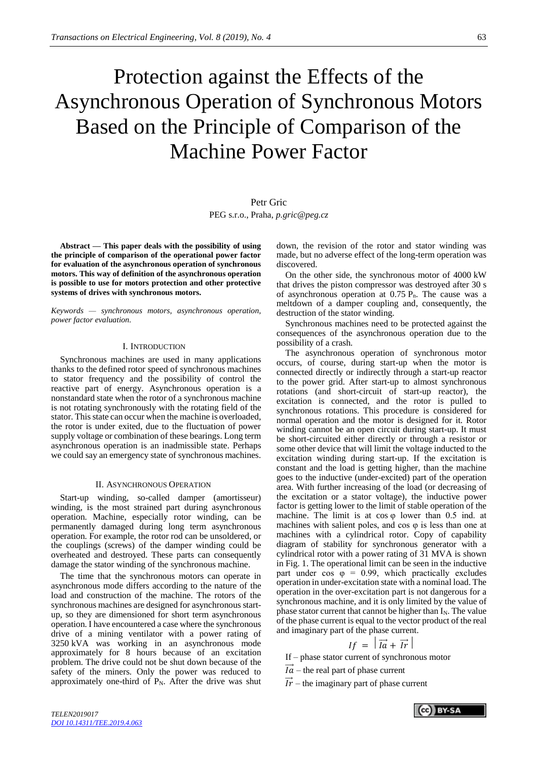# Protection against the Effects of the Asynchronous Operation of Synchronous Motors Based on the Principle of Comparison of the Machine Power Factor

# Petr Gric

PEG s.r.o., Praha, *p.gric@peg.cz*

**Abstract — This paper deals with the possibility of using the principle of comparison of the operational power factor for evaluation of the asynchronous operation of synchronous motors. This way of definition of the asynchronous operation is possible to use for motors protection and other protective systems of drives with synchronous motors.**

*Keywords — synchronous motors, asynchronous operation, power factor evaluation.*

#### I. INTRODUCTION

Synchronous machines are used in many applications thanks to the defined rotor speed of synchronous machines to stator frequency and the possibility of control the reactive part of energy. Asynchronous operation is a nonstandard state when the rotor of a synchronous machine is not rotating synchronously with the rotating field of the stator. This state can occur when the machine is overloaded, the rotor is under exited, due to the fluctuation of power supply voltage or combination of these bearings. Long term asynchronous operation is an inadmissible state. Perhaps we could say an emergency state of synchronous machines.

#### II. ASYNCHRONOUS OPERATION

Start-up winding, so-called damper (amortisseur) winding, is the most strained part during asynchronous operation. Machine, especially rotor winding, can be permanently damaged during long term asynchronous operation. For example, the rotor rod can be unsoldered, or the couplings (screws) of the damper winding could be overheated and destroyed. These parts can consequently damage the stator winding of the synchronous machine.

The time that the synchronous motors can operate in asynchronous mode differs according to the nature of the load and construction of the machine. The rotors of the synchronous machines are designed for asynchronous startup, so they are dimensioned for short term asynchronous operation. I have encountered a case where the synchronous drive of a mining ventilator with a power rating of 3250 kVA was working in an asynchronous mode approximately for 8 hours because of an excitation problem. The drive could not be shut down because of the safety of the miners. Only the power was reduced to approximately one-third of  $P_N$ . After the drive was shut down, the revision of the rotor and stator winding was made, but no adverse effect of the long-term operation was discovered.

On the other side, the synchronous motor of 4000 kW that drives the piston compressor was destroyed after 30 s of asynchronous operation at  $0.75$   $P_n$ . The cause was a meltdown of a damper coupling and, consequently, the destruction of the stator winding.

Synchronous machines need to be protected against the consequences of the asynchronous operation due to the possibility of a crash.

The asynchronous operation of synchronous motor occurs, of course, during start-up when the motor is connected directly or indirectly through a start-up reactor to the power grid. After start-up to almost synchronous rotations (and short-circuit of start-up reactor), the excitation is connected, and the rotor is pulled to synchronous rotations. This procedure is considered for normal operation and the motor is designed for it. Rotor winding cannot be an open circuit during start-up. It must be short-circuited either directly or through a resistor or some other device that will limit the voltage inducted to the excitation winding during start-up. If the excitation is constant and the load is getting higher, than the machine goes to the inductive (under-excited) part of the operation area. With further increasing of the load (or decreasing of the excitation or a stator voltage), the inductive power factor is getting lower to the limit of stable operation of the machine. The limit is at  $cos \varphi$  lower than 0.5 ind. at machines with salient poles, and cos  $\varphi$  is less than one at machines with a cylindrical rotor. Copy of capability diagram of stability for synchronous generator with a cylindrical rotor with a power rating of 31 MVA is shown in Fig. 1. The operational limit can be seen in the inductive part under cos  $\varphi = 0.99$ , which practically excludes operation in under-excitation state with a nominal load. The operation in the over-excitation part is not dangerous for a synchronous machine, and it is only limited by the value of phase stator current that cannot be higher than  $I_N$ . The value of the phase current is equal to the vector product of the real and imaginary part of the phase current.

$$
If = |\vec{I} \vec{a} + \vec{I} \vec{r}|
$$

If – phase stator current of synchronous motor

- $I\dot{a}$  the real part of phase current
- $\overrightarrow{Ir}$  the imaginary part of phase current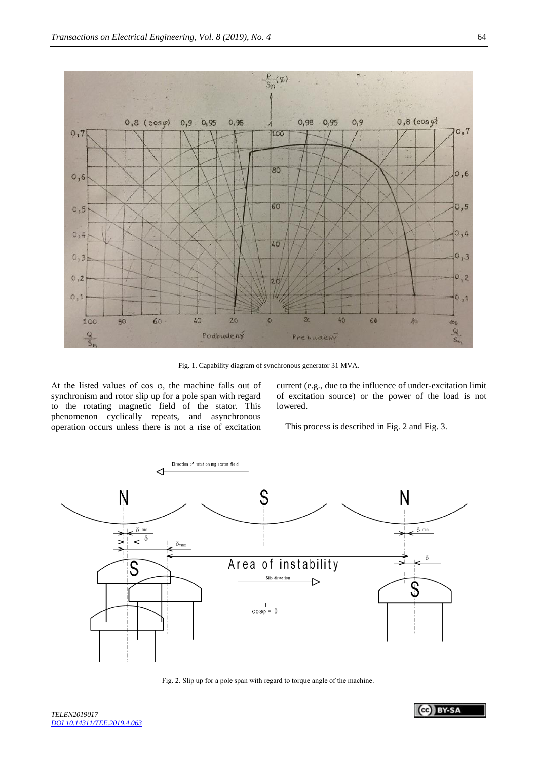

Fig. 1. Capability diagram of synchronous generator 31 MVA.

At the listed values of cos φ, the machine falls out of synchronism and rotor slip up for a pole span with regard to the rotating magnetic field of the stator. This phenomenon cyclically repeats, and asynchronous operation occurs unless there is not a rise of excitation

current (e.g., due to the influence of under-excitation limit of excitation source) or the power of the load is not lowered.

This process is described i[n Fig.](#page-1-0) 2 and [Fig.](#page-2-0) 3.



<span id="page-1-0"></span>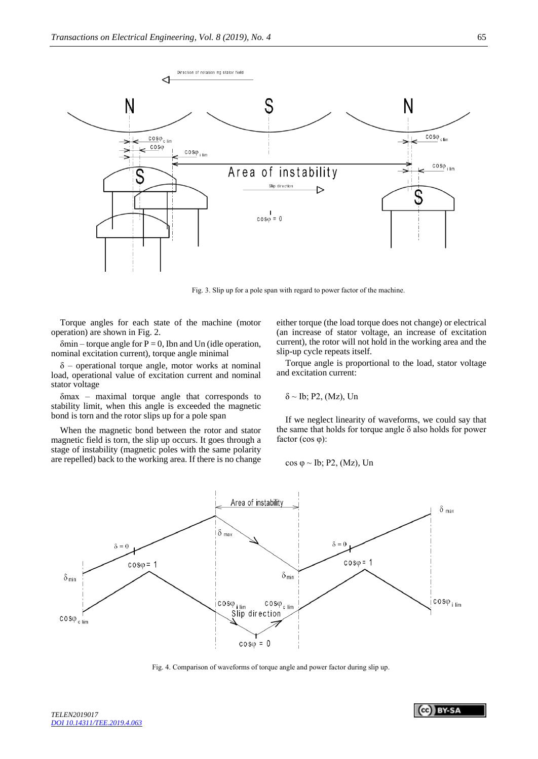

Fig. 3. Slip up for a pole span with regard to power factor of the machine.

<span id="page-2-0"></span>Torque angles for each state of the machine (motor operation) are shown in Fig. 2.

 $\delta$ min – torque angle for P = 0, Ibn and Un (idle operation, nominal excitation current), torque angle minimal

 $\delta$  – operational torque angle, motor works at nominal load, operational value of excitation current and nominal stator voltage

δmax – maximal torque angle that corresponds to stability limit, when this angle is exceeded the magnetic bond is torn and the rotor slips up for a pole span

When the magnetic bond between the rotor and stator magnetic field is torn, the slip up occurs. It goes through a stage of instability (magnetic poles with the same polarity are repelled) back to the working area. If there is no change either torque (the load torque does not change) or electrical (an increase of stator voltage, an increase of excitation current), the rotor will not hold in the working area and the slip-up cycle repeats itself.

Torque angle is proportional to the load, stator voltage and excitation current:

$$
\delta \sim Ib; \, P2, \, (Mz), \, Un
$$

If we neglect linearity of waveforms, we could say that the same that holds for torque angle  $\delta$  also holds for power factor (cos φ):

$$
\cos \varphi \sim \text{Ib}; P2, (Mz), \text{Un}
$$



Fig. 4. Comparison of waveforms of torque angle and power factor during slip up.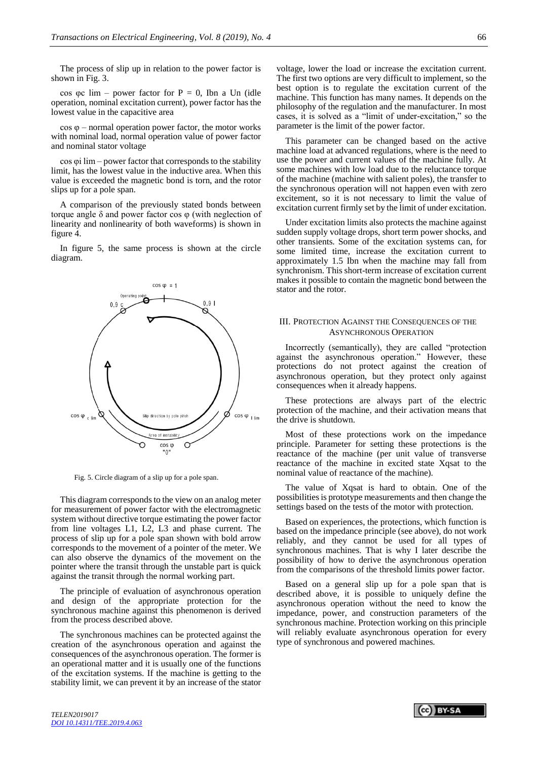The process of slip up in relation to the power factor is shown in [Fig.](#page-2-0) 3.

cos φc lim – power factor for  $P = 0$ , Ibn a Un (idle operation, nominal excitation current), power factor has the lowest value in the capacitive area

cos φ – normal operation power factor, the motor works with nominal load, normal operation value of power factor and nominal stator voltage

cos φi lim – power factor that corresponds to the stability limit, has the lowest value in the inductive area. When this value is exceeded the magnetic bond is torn, and the rotor slips up for a pole span.

A comparison of the previously stated bonds between torque angle δ and power factor cos φ (with neglection of linearity and nonlinearity of both waveforms) is shown in figure 4.

In figure 5, the same process is shown at the circle diagram.



Fig. 5. Circle diagram of a slip up for a pole span.

This diagram corresponds to the view on an analog meter for measurement of power factor with the electromagnetic system without directive torque estimating the power factor from line voltages L1, L2, L3 and phase current. The process of slip up for a pole span shown with bold arrow corresponds to the movement of a pointer of the meter. We can also observe the dynamics of the movement on the pointer where the transit through the unstable part is quick against the transit through the normal working part.

The principle of evaluation of asynchronous operation and design of the appropriate protection for the synchronous machine against this phenomenon is derived from the process described above.

The synchronous machines can be protected against the creation of the asynchronous operation and against the consequences of the asynchronous operation. The former is an operational matter and it is usually one of the functions of the excitation systems. If the machine is getting to the stability limit, we can prevent it by an increase of the stator voltage, lower the load or increase the excitation current. The first two options are very difficult to implement, so the best option is to regulate the excitation current of the machine. This function has many names. It depends on the philosophy of the regulation and the manufacturer. In most cases, it is solved as a "limit of under-excitation," so the parameter is the limit of the power factor.

This parameter can be changed based on the active machine load at advanced regulations, where is the need to use the power and current values of the machine fully. At some machines with low load due to the reluctance torque of the machine (machine with salient poles), the transfer to the synchronous operation will not happen even with zero excitement, so it is not necessary to limit the value of excitation current firmly set by the limit of under excitation.

Under excitation limits also protects the machine against sudden supply voltage drops, short term power shocks, and other transients. Some of the excitation systems can, for some limited time, increase the excitation current to approximately 1.5 Ibn when the machine may fall from synchronism. This short-term increase of excitation current makes it possible to contain the magnetic bond between the stator and the rotor.

# III. PROTECTION AGAINST THE CONSEQUENCES OF THE ASYNCHRONOUS OPERATION

Incorrectly (semantically), they are called "protection against the asynchronous operation." However, these protections do not protect against the creation of asynchronous operation, but they protect only against consequences when it already happens.

These protections are always part of the electric protection of the machine, and their activation means that the drive is shutdown.

Most of these protections work on the impedance principle. Parameter for setting these protections is the reactance of the machine (per unit value of transverse reactance of the machine in excited state Xqsat to the nominal value of reactance of the machine).

The value of Xqsat is hard to obtain. One of the possibilities is prototype measurements and then change the settings based on the tests of the motor with protection.

Based on experiences, the protections, which function is based on the impedance principle (see above), do not work reliably, and they cannot be used for all types of synchronous machines. That is why I later describe the possibility of how to derive the asynchronous operation from the comparisons of the threshold limits power factor.

Based on a general slip up for a pole span that is described above, it is possible to uniquely define the asynchronous operation without the need to know the impedance, power, and construction parameters of the synchronous machine. Protection working on this principle will reliably evaluate asynchronous operation for every type of synchronous and powered machines.